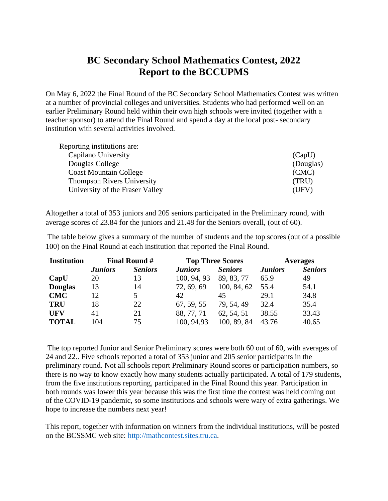## **BC Secondary School Mathematics Contest, 2022 Report to the BCCUPMS**

On May 6, 2022 the Final Round of the BC Secondary School Mathematics Contest was written at a number of provincial colleges and universities. Students who had performed well on an earlier Preliminary Round held within their own high schools were invited (together with a teacher sponsor) to attend the Final Round and spend a day at the local post- secondary institution with several activities involved.

| Reporting institutions are:       |           |
|-----------------------------------|-----------|
| Capilano University               | (CapU)    |
| Douglas College                   | (Douglas) |
| <b>Coast Mountain College</b>     | (CMC)     |
| <b>Thompson Rivers University</b> | (TRU)     |
| University of the Fraser Valley   | (UFV)     |

Altogether a total of 353 juniors and 205 seniors participated in the Preliminary round, with average scores of 23.84 for the juniors and 21.48 for the Seniors overall, (out of 60).

The table below gives a summary of the number of students and the top scores (out of a possible 100) on the Final Round at each institution that reported the Final Round.

| <b>Institution</b> | <b>Final Round #</b> |                | <b>Top Three Scores</b> |                | <b>Averages</b> |                |
|--------------------|----------------------|----------------|-------------------------|----------------|-----------------|----------------|
|                    | <b>Juniors</b>       | <b>Seniors</b> | <b>Juniors</b>          | <b>Seniors</b> | <b>Juniors</b>  | <b>Seniors</b> |
| CapU               | 20                   | 13             | 100, 94, 93             | 89, 83, 77     | 65.9            | 49             |
| <b>Douglas</b>     | 13                   | 14             | 72, 69, 69              | 100, 84, 62    | 55.4            | 54.1           |
| <b>CMC</b>         | 12                   | 5              | 42.                     | 45             | 29.1            | 34.8           |
| <b>TRU</b>         | 18                   | 22             | 67, 59, 55              | 79, 54, 49     | 32.4            | 35.4           |
| <b>UFV</b>         | 41                   | 21             | 88, 77, 71              | 62, 54, 51     | 38.55           | 33.43          |
| <b>TOTAL</b>       | 104                  | 75             | 100, 94, 93             | 100, 89, 84    | 43.76           | 40.65          |

The top reported Junior and Senior Preliminary scores were both 60 out of 60, with averages of 24 and 22.. Five schools reported a total of 353 junior and 205 senior participants in the preliminary round. Not all schools report Preliminary Round scores or participation numbers, so there is no way to know exactly how many students actually participated. A total of 179 students, from the five institutions reporting, participated in the Final Round this year. Participation in both rounds was lower this year because this was the first time the contest was held coming out of the COVID-19 pandemic, so some institutions and schools were wary of extra gatherings. We hope to increase the numbers next year!

This report, together with information on winners from the individual institutions, will be posted on the BCSSMC web site: [http://mathcontest.sites.tru.ca.](http://mathcontest.sites.tru.ca/)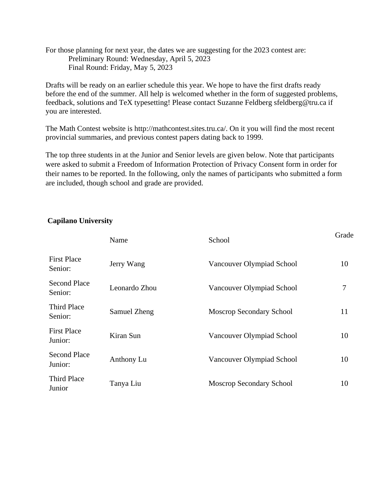For those planning for next year, the dates we are suggesting for the 2023 contest are: Preliminary Round: Wednesday, April 5, 2023 Final Round: Friday, May 5, 2023

Drafts will be ready on an earlier schedule this year. We hope to have the first drafts ready before the end of the summer. All help is welcomed whether in the form of suggested problems, feedback, solutions and TeX typesetting! Please contact Suzanne Feldberg sfeldberg@tru.ca if you are interested.

The Math Contest website is http://mathcontest.sites.tru.ca/. On it you will find the most recent provincial summaries, and previous contest papers dating back to 1999.

The top three students in at the Junior and Senior levels are given below. Note that participants were asked to submit a Freedom of Information Protection of Privacy Consent form in order for their names to be reported. In the following, only the names of participants who submitted a form are included, though school and grade are provided.

# Name School School Grade First Place Senior: Jerry Wang Vancouver Olympiad School 10 Second Place Second Frace Leonardo Zhou Vancouver Olympiad School 7<br>Senior: Third Place Samuel Zheng Moscrop Secondary School 11 First Place Junior: Kiran Sun Vancouver Olympiad School <sup>10</sup> Second Place Junior: Anthony Lu Vancouver Olympiad School <sup>10</sup> Third Place Junior Tanya Liu Moscrop Secondary School <sup>10</sup>

### **Capilano University**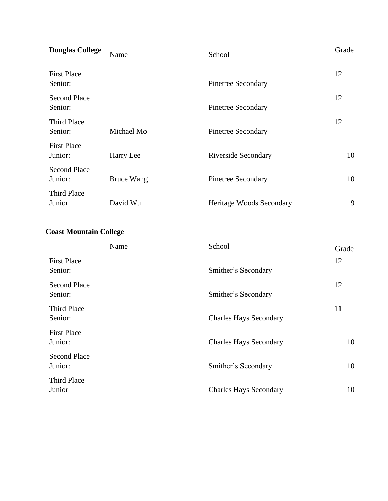| <b>Douglas College</b>         | Name              | School                          | Grade |
|--------------------------------|-------------------|---------------------------------|-------|
| <b>First Place</b><br>Senior:  |                   | <b>Pinetree Secondary</b>       | 12    |
| <b>Second Place</b><br>Senior: |                   | <b>Pinetree Secondary</b>       | 12    |
| <b>Third Place</b><br>Senior:  | Michael Mo        | <b>Pinetree Secondary</b>       | 12    |
| <b>First Place</b><br>Junior:  | Harry Lee         | <b>Riverside Secondary</b>      | 10    |
| <b>Second Place</b><br>Junior: | <b>Bruce Wang</b> | <b>Pinetree Secondary</b>       | 10    |
| Third Place<br>Junior          | David Wu          | <b>Heritage Woods Secondary</b> | 9     |

### **Coast Mountain College**

|                                | Name | School                        | Grade |
|--------------------------------|------|-------------------------------|-------|
| <b>First Place</b><br>Senior:  |      | Smither's Secondary           | 12    |
| <b>Second Place</b><br>Senior: |      | Smither's Secondary           | 12    |
| Third Place<br>Senior:         |      | <b>Charles Hays Secondary</b> | 11    |
| <b>First Place</b><br>Junior:  |      | <b>Charles Hays Secondary</b> | 10    |
| <b>Second Place</b><br>Junior: |      | Smither's Secondary           | 10    |
| Third Place<br>Junior          |      | <b>Charles Hays Secondary</b> | 10    |